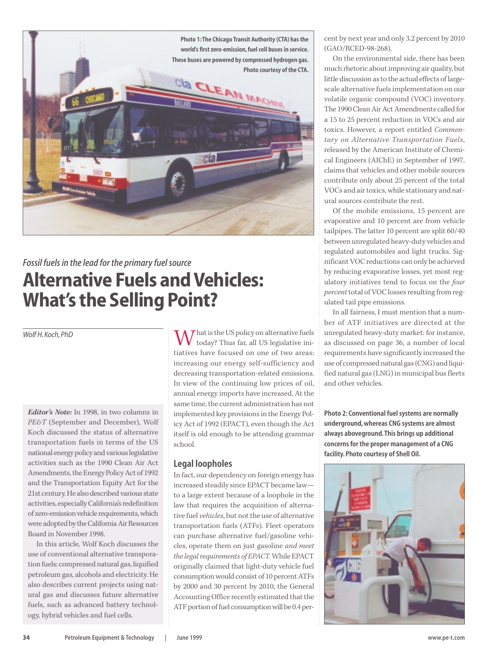

# *Fossil fuels in the lead for the primary fuel source* **Alternative Fuels and Vehicles: What's the Selling Point?**

*Wolf H. Koch, PhD*

*Editor's Note:* In 1998, in two columns in *PE&T* (September and December), Wolf Koch discussed the status of alternative transportation fuels in terms of the US national energy policy and various legislative activities such as the 1990 Clean Air Act Amendments, the Energy Policy Act of 1992 and the Transportation Equity Act for the 21st century. He also described various state activities, especially California's redefinition of zero-emission vehicle requirements, which were adopted by the California Air Resources Board in November 1998.

In this article, Wolf Koch discusses the use of conventional alternative transporation fuels: compressed natural gas, liquified petroleum gas, alcohols and electricity. He also describes current projects using natural gas and discusses future alternative fuels, such as advanced battery technology, hybrid vehicles and fuel cells.

What is the US policy on alternative fuels today? Thus far, all US legislative initiatives have focused on one of two areas: increasing our energy self-sufficiency and decreasing transportation-related emissions. In view of the continuing low prices of oil, annual energy imports have increased. At the same time, the current administration has not implemented key provisions in the Energy Policy Act of 1992 (EPACT), even though the Act itself is old enough to be attending grammar school.

# **Legal loopholes**

In fact, our dependency on foreign energy has increased steadily since EPACT became law to a large extent because of a loophole in the law that requires the acquisition of alternative fuel *vehicles*, but not the use of alternative transportation fuels (ATFs). Fleet operators can purchase alternative fuel/gasoline vehicles, operate them on just gasoline *and meet the legal requirements of EPACT.* While EPACT originally claimed that light-duty vehicle fuel consumption would consist of 10 percent ATFs by 2000 and 30 percent by 2010, the General Accounting Office recently estimated that the ATF portion of fuel consumption will be 0.4 per-

cent by next year and only 3.2 percent by 2010 (GAO/RCED-98-268).

On the environmental side, there has been much rhetoric about improving air quality, but little discussion as to the actual effects of largescale alternative fuels implementation on our volatile organic compound (VOC) inventory. The 1990 Clean Air Act Amendments called for a 15 to 25 percent reduction in VOCs and air toxics. However, a report entitled *Commentary on Alternative Transportation Fuels*, released by the American Institute of Chemical Engineers (AIChE) in September of 1997, claims that vehicles and other mobile sources contribute only about 25 percent of the total VOCs and air toxics, while stationary and natural sources contribute the rest.

Of the mobile emissions, 15 percent are evaporative and 10 percent are from vehicle tailpipes. The latter 10 percent are split 60/40 between unregulated heavy-duty vehicles and regulated automobiles and light trucks. Significant VOC reductions can only be achieved by reducing evaporative losses, yet most regulatory initiatives tend to focus on the *four percent*total of VOC losses resulting from regulated tail pipe emissions.

In all fairness, I must mention that a number of ATF initiatives are directed at the unregulated heavy-duty market: for instance, as discussed on page 36, a number of local requirements have significantly increased the use of compressed natural gas (CNG) and liquified natural gas (LNG) in municipal bus fleets and other vehicles.

**Photo 2: Conventional fuel systems are normally underground, whereas CNG systems are almost always aboveground. This brings up additional concerns for the proper management of a CNG facility. Photo courtesy of Shell Oil.**

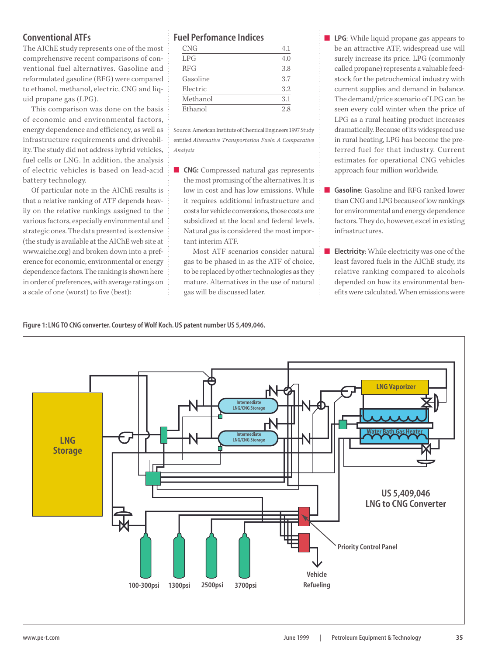# **Conventional ATFs**

The AIChE study represents one of the most comprehensive recent comparisons of conventional fuel alternatives. Gasoline and reformulated gasoline (RFG) were compared to ethanol, methanol, electric, CNG and liquid propane gas (LPG).

This comparison was done on the basis of economic and environmental factors, energy dependence and efficiency, as well as infrastructure requirements and driveability. The study did not address hybrid vehicles, fuel cells or LNG. In addition, the analysis of electric vehicles is based on lead-acid battery technology.

Of particular note in the AIChE results is that a relative ranking of ATF depends heavily on the relative rankings assigned to the various factors, especially environmental and strategic ones. The data presented is extensive (the study is available at the AIChE web site at www.aiche.org) and broken down into a preference for economic, environmental or energy dependence factors. The ranking is shown here in order of preferences, with average ratings on a scale of one (worst) to five (best):

# **Fuel Perfomance Indices**

|  | ۰ |  |
|--|---|--|
|  |   |  |

| <b>CNG</b> |     |
|------------|-----|
| LPG        | 4.0 |
| <b>RFG</b> | 3.8 |
| Gasoline   | 3.7 |
| Electric   | 3.2 |
| Methanol   | 3.1 |
| Ethanol    | 2.8 |
|            |     |

Source: American Institute of Chemical Engineers 1997 Study entitled *Alternative Transportation Fuels: A Comparative Analysis*

■ **CNG:** Compressed natural gas represents the most promising of the alternatives. It is low in cost and has low emissions. While it requires additional infrastructure and costs for vehicle conversions, those costs are subsidized at the local and federal levels. Natural gas is considered the most important interim ATF.

Most ATF scenarios consider natural gas to be phased in as the ATF of choice, to be replaced by other technologies as they mature. Alternatives in the use of natural gas will be discussed later.

- LPG: While liquid propane gas appears to be an attractive ATF, widespread use will surely increase its price. LPG (commonly called propane) represents a valuable feedstock for the petrochemical industry with current supplies and demand in balance. The demand/price scenario of LPG can be seen every cold winter when the price of LPG as a rural heating product increases dramatically. Because of its widespread use in rural heating, LPG has become the preferred fuel for that industry. Current estimates for operational CNG vehicles approach four million worldwide.
- **Gasoline**: Gasoline and RFG ranked lower than CNG and LPG because of low rankings for environmental and energy dependence factors. They do, however, excel in existing infrastructures.
- **Electricity**: While electricity was one of the least favored fuels in the AIChE study, its relative ranking compared to alcohols depended on how its environmental benefits were calculated. When emissions were

**Figure 1: LNG TO CNG converter. Courtesy of Wolf Koch. US patent number US 5,409,046.**

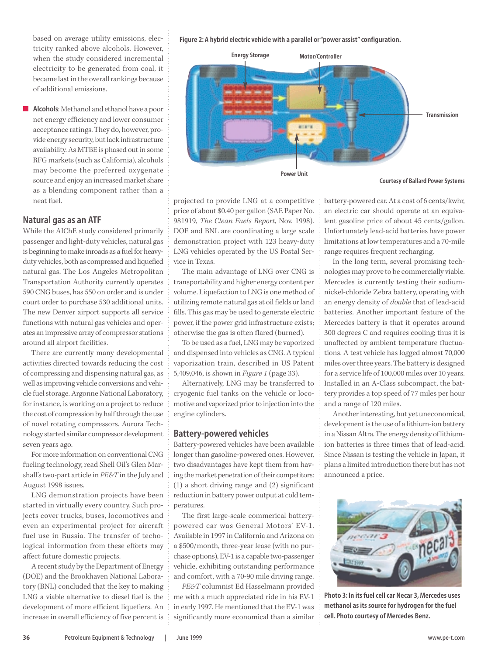based on average utility emissions, electricity ranked above alcohols. However, when the study considered incremental electricity to be generated from coal, it became last in the overall rankings because of additional emissions.

■ **Alcohols**: Methanol and ethanol have a poor net energy efficiency and lower consumer acceptance ratings. They do, however, provide energy security, but lack infrastructure availability. As MTBE is phased out in some RFG markets (such as California), alcohols may become the preferred oxygenate source and enjoy an increased market share as a blending component rather than a neat fuel.

## **Natural gas as an ATF**

While the AIChE study considered primarily passenger and light-duty vehicles, natural gas is beginning to make inroads as a fuel for heavyduty vehicles, both as compressed and liquefied natural gas. The Los Angeles Metropolitan Transportation Authority currently operates 590 CNG buses, has 550 on order and is under court order to purchase 530 additional units. The new Denver airport supports all service functions with natural gas vehicles and operates an impressive array of compressor stations around all airport facilities.

There are currently many developmental activities directed towards reducing the cost of compressing and dispensing natural gas, as well as improving vehicle conversions and vehicle fuel storage. Argonne National Laboratory, for instance, is working on a project to reduce the cost of compression by half through the use of novel rotating compressors. Aurora Technology started similar compressor development seven years ago.

For more information on conventional CNG fueling technology, read Shell Oil's Glen Marshall's two-part article in *PE&T* in the July and August 1998 issues.

LNG demonstration projects have been started in virtually every country. Such projects cover trucks, buses, locomotives and even an experimental project for aircraft fuel use in Russia. The transfer of techological information from these efforts may affect future domestic projects.

A recent study by the Department of Energy (DOE) and the Brookhaven National Laboratory (BNL) concluded that the key to making LNG a viable alternative to diesel fuel is the development of more efficient liquefiers. An increase in overall efficiency of five percent is **Figure 2: A hybrid electric vehicle with a parallel or "power assist" configuration.**



**Courtesy of Ballard Power Systems**

projected to provide LNG at a competitive price of about \$0.40 per gallon (SAE Paper No. 981919, *The Clean Fuels Report*, Nov. 1998). DOE and BNL are coordinating a large scale demonstration project with 123 heavy-duty LNG vehicles operated by the US Postal Service in Texas.

The main advantage of LNG over CNG is transportability and higher energy content per volume. Liquefaction to LNG is one method of utilizing remote natural gas at oil fields or land fills. This gas may be used to generate electric power, if the power grid infrastructure exists; otherwise the gas is often flared (burned).

To be used as a fuel, LNG may be vaporized and dispensed into vehicles as CNG. A typical vaporization train, described in US Patent 5,409,046, is shown in *Figure 1* (page 33).

Alternatively, LNG may be transferred to cryogenic fuel tanks on the vehicle or locomotive and vaporized prior to injection into the engine cylinders.

### **Battery-powered vehicles**

Battery-powered vehicles have been available longer than gasoline-powered ones. However, two disadvantages have kept them from having the market penetration of their competitors: (1) a short driving range and (2) significant reduction in battery power output at cold temperatures.

The first large-scale commerical batterypowered car was General Motors' EV-1. Available in 1997 in California and Arizona on a \$500/month, three-year lease (with no purchase options), EV-1 is a capable two-passenger vehicle, exhibiting outstanding performance and comfort, with a 70-90 mile driving range.

*PE&T* columnist Ed Hasselmann provided me with a much appreciated ride in his EV-1 in early 1997. He mentioned that the EV-1 was significantly more economical than a similar battery-powered car. At a cost of 6 cents/kwhr, an electric car should operate at an equivalent gasoline price of about 45 cents/gallon. Unfortunately lead-acid batteries have power limitations at low temperatures and a 70-mile range requires frequent recharging.

In the long term, several promising technologies may prove to be commercially viable. Mercedes is currently testing their sodiumnickel-chloride Zebra battery, operating with an energy density of *double* that of lead-acid batteries. Another important feature of the Mercedes battery is that it operates around 300 degrees C and requires cooling; thus it is unaffected by ambient temperature fluctuations. A test vehicle has logged almost 70,000 miles over three years. The battery is designed for a service life of 100,000 miles over 10 years. Installed in an A-Class subcompact, the battery provides a top speed of 77 miles per hour and a range of 120 miles.

Another interesting, but yet uneconomical, development is the use of a lithium-ion battery in a Nissan Altra. The energy density of lithiumion batteries is three times that of lead-acid. Since Nissan is testing the vehicle in Japan, it plans a limited introduction there but has not announced a price.



**Photo 3: In its fuel cell car Necar 3, Mercedes uses methanol as its source for hydrogen for the fuel cell. Photo courtesy of Mercedes Benz.**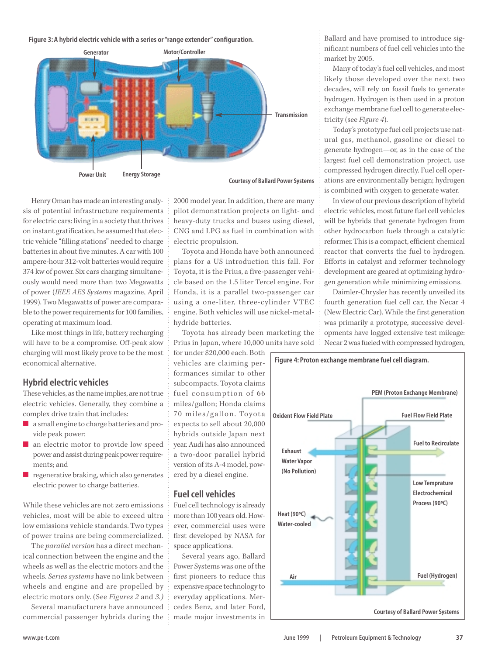#### **Figure 3: A hybrid electric vehicle with a series or "range extender" configuration.**



**Courtesy of Ballard Power Systems**

Henry Oman has made an interesting analysis of potential infrastructure requirements for electric cars: living in a society that thrives on instant gratification, he assumed that electric vehicle "filling stations" needed to charge batteries in about five minutes. A car with 100 ampere-hour 312-volt batteries would require 374 kw of power. Six cars charging simultaneously would need more than two Megawatts of power (*IEEE AES Systems* magazine, April 1999). Two Megawatts of power are comparable to the power requirements for 100 families, operating at maximum load.

Like most things in life, battery recharging will have to be a compromise. Off-peak slow charging will most likely prove to be the most economical alternative.

## **Hybrid electric vehicles**

These vehicles, as the name implies, are not true electric vehicles. Generally, they combine a complex drive train that includes:

- a small engine to charge batteries and provide peak power;
- an electric motor to provide low speed power and assist during peak power requirements; and
- regenerative braking, which also generates electric power to charge batteries.

While these vehicles are not zero emissions vehicles, most will be able to exceed ultra low emissions vehicle standards. Two types of power trains are being commercialized.

The *parallel version* has a direct mechanical connection between the engine and the wheels as well as the electric motors and the wheels. *Series systems* have no link between wheels and engine and are propelled by electric motors only. (See *Figures 2* and *3.)*

Several manufacturers have announced commercial passenger hybrids during the

2000 model year. In addition, there are many pilot demonstration projects on light- and heavy-duty trucks and buses using diesel, CNG and LPG as fuel in combination with electric propulsion.

Toyota and Honda have both announced plans for a US introduction this fall. For Toyota, it is the Prius, a five-passenger vehicle based on the 1.5 liter Tercel engine. For Honda, it is a parallel two-passenger car using a one-liter, three-cylinder VTEC engine. Both vehicles will use nickel-metalhydride batteries.

Toyota has already been marketing the Prius in Japan, where 10,000 units have sold

for under \$20,000 each. Both vehicles are claiming performances similar to other subcompacts. Toyota claims fuel consumption of 66 miles/gallon; Honda claims 70 miles/gallon. Toyota expects to sell about 20,000 hybrids outside Japan next year. Audi has also announced a two-door parallel hybrid version of its A-4 model, powered by a diesel engine.

### **Fuel cell vehicles**

Fuel cell technology is already more than 100 years old. However, commercial uses were first developed by NASA for space applications.

Several years ago, Ballard Power Systems was one of the first pioneers to reduce this expensive space technology to everyday applications. Mercedes Benz, and later Ford, made major investments in

Ballard and have promised to introduce significant numbers of fuel cell vehicles into the market by 2005.

Many of today's fuel cell vehicles, and most likely those developed over the next two decades, will rely on fossil fuels to generate hydrogen. Hydrogen is then used in a proton exchange membrane fuel cell to generate electricity (see *Figure 4*).

Today's prototype fuel cell projects use natural gas, methanol, gasoline or diesel to generate hydrogen—or, as in the case of the largest fuel cell demonstration project, use compressed hydrogen directly. Fuel cell operations are environmentally benign; hydrogen is combined with oxygen to generate water.

In view of our previous description of hybrid electric vehicles, most future fuel cell vehicles will be hybrids that generate hydrogen from other hydrocarbon fuels through a catalytic reformer. This is a compact, efficient chemical reactor that converts the fuel to hydrogen. Efforts in catalyst and reformer technology development are geared at optimizing hydrogen generation while minimizing emissions.

Daimler-Chrysler has recently unveiled its fourth generation fuel cell car, the Necar 4 (New Electric Car). While the first generation was primarily a prototype, successive developments have logged extensive test mileage: Necar 2 was fueled with compressed hydrogen,